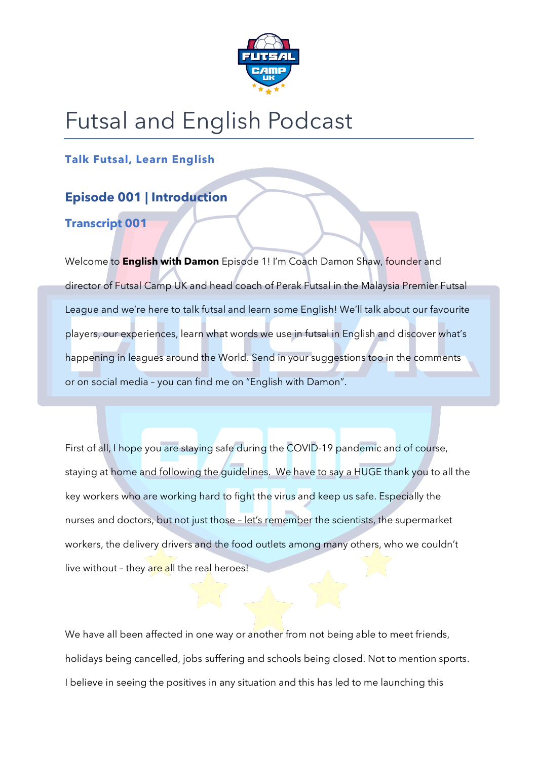

## Futsal and English Podcast

**Talk Futsal, Learn English**

### **Episode 001 | Introduction**

#### **Transcript 001**

Welcome to **English with Damon** Episode 1! I'm Coach Damon Shaw, founder and director of Futsal Camp UK and head coach of Perak Futsal in the Malaysia Premier Futsal League and we're here to talk futsal and learn some English! We'll talk about our favourite players, our experiences, learn what words we use in futsal in English and discover what's happening in leagues around the World. Send in your suggestions too in the comments or on social media – you can find me on "English with Damon".

First of all, I hope you are staying safe during the COVID-19 pandemic and of course, staying at home and following the guidelines. We have to say a HUGE thank you to all the key workers who are working hard to fight the virus and keep us safe. Especially the nurses and doctors, but not just those – let's remember the scientists, the supermarket workers, the delivery drivers and the food outlets among many others, who we couldn't live without - they are all the real heroes!

We have all been affected in one way or another from not being able to meet friends, holidays being cancelled, jobs suffering and schools being closed. Not to mention sports. I believe in seeing the positives in any situation and this has led to me launching this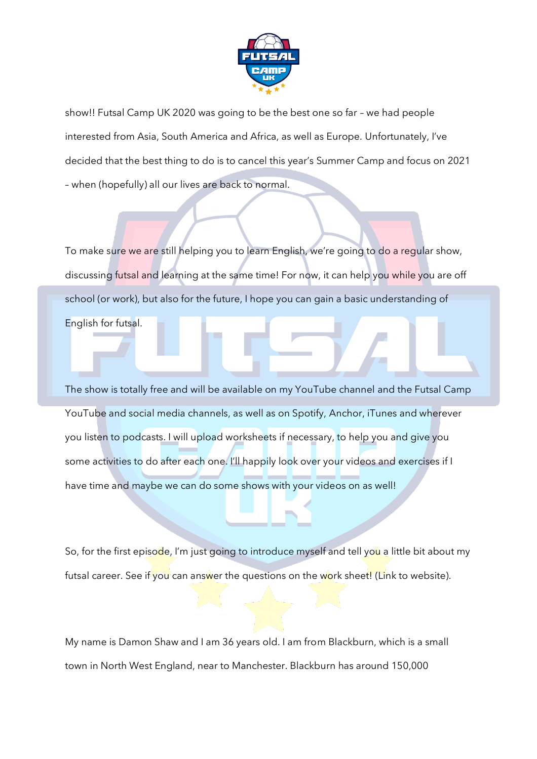

show!! Futsal Camp UK 2020 was going to be the best one so far – we had people interested from Asia, South America and Africa, as well as Europe. Unfortunately, I've decided that the best thing to do is to cancel this year's Summer Camp and focus on 2021 – when (hopefully) all our lives are back to normal.

To make sure we are still helping you to learn English, we're going to do a regular show, discussing futsal and learning at the same time! For now, it can help you while you are off school (or work), but also for the future, I hope you can gain a basic understanding of English for futsal.

The show is totally free and will be available on my YouTube channel and the Futsal Camp YouTube and social media channels, as well as on Spotify, Anchor, iTunes and wherever you listen to podcasts. I will upload worksheets if necessary, to help you and give you some activities to do after each one. I'll happily look over your videos and exercises if I have time and maybe we can do some shows with your videos on as well!

So, for the first episode, I'm just going to introduce myself and tell you a little bit about my futsal career. See if you can answer the questions on the work sheet! (Link to website).

My name is Damon Shaw and I am 36 years old. I am from Blackburn, which is a small town in North West England, near to Manchester. Blackburn has around 150,000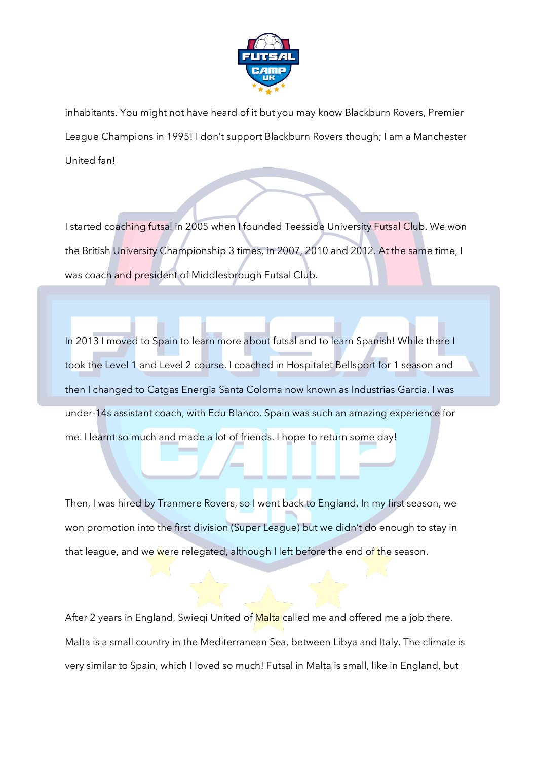

inhabitants. You might not have heard of it but you may know Blackburn Rovers, Premier League Champions in 1995! I don't support Blackburn Rovers though; I am a Manchester United fan!

I started coaching futsal in 2005 when I founded Teesside University Futsal Club. We won the British University Championship 3 times, in 2007, 2010 and 2012. At the same time, I was coach and president of Middlesbrough Futsal Club.

In 2013 I moved to Spain to learn more about futsal and to learn Spanish! While there I took the Level 1 and Level 2 course. I coached in Hospitalet Bellsport for 1 season and then I changed to Catgas Energia Santa Coloma now known as Industrias Garcia. I was under-14s assistant coach, with Edu Blanco. Spain was such an amazing experience for me. I learnt so much and made a lot of friends. I hope to return some day!

Then, I was hired by Tranmere Rovers, so I went back to England. In my first season, we won promotion into the first division (Super League) but we didn't do enough to stay in that league, and we were relegated, although I left before the end of the season.

After 2 years in England, Swieqi United of Malta called me and offered me a job there. Malta is a small country in the Mediterranean Sea, between Libya and Italy. The climate is very similar to Spain, which I loved so much! Futsal in Malta is small, like in England, but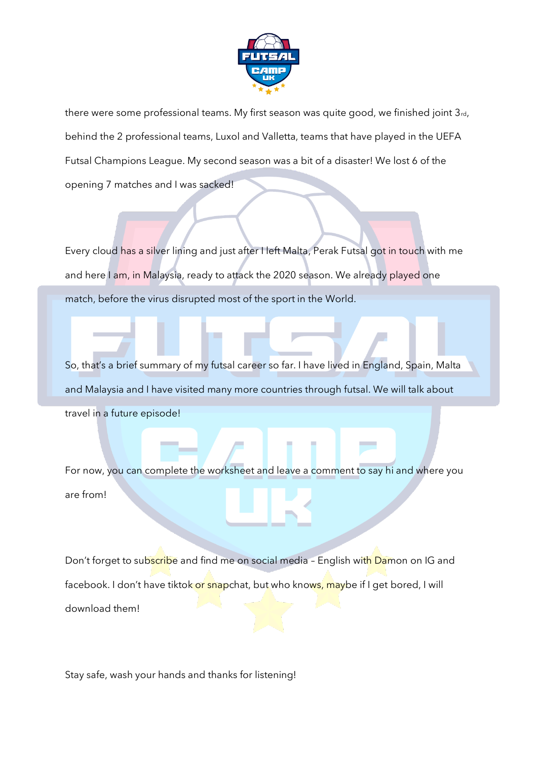

there were some professional teams. My first season was quite good, we finished joint  $3_{rd}$ , behind the 2 professional teams, Luxol and Valletta, teams that have played in the UEFA Futsal Champions League. My second season was a bit of a disaster! We lost 6 of the opening 7 matches and I was sacked!

Every cloud has a silver lining and just after I left Malta, Perak Futsal got in touch with me and here I am, in Malaysia, ready to attack the 2020 season. We already played one match, before the virus disrupted most of the sport in the World.

So, that's a brief summary of my futsal career so far. I have lived in England, Spain, Malta and Malaysia and I have visited many more countries through futsal. We will talk about travel in a future episode!

For now, you can complete the worksheet and leave a comment to say hi and where you are from!

Don't forget to subscribe and find me on social media - English with Damon on IG and facebook. I don't have tiktok or snapchat, but who knows, maybe if I get bored, I will download them!

Stay safe, wash your hands and thanks for listening!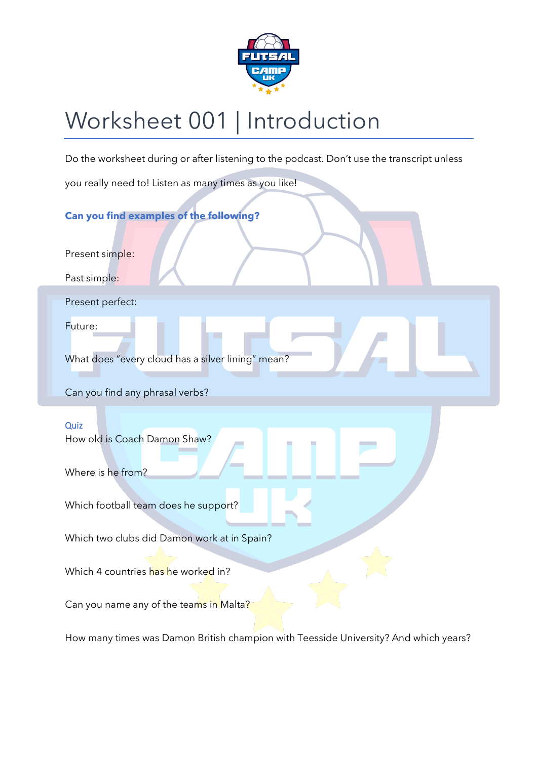

# Worksheet 001 | Introduction

Do the worksheet during or after listening to the podcast. Don't use the transcript unless

you really need to! Listen as many times as you like!

#### **Can you find examples of the following?**

Present simple:

Past simple:

Present perfect:

Future:

What does "every cloud has a silver lining" mean?

Can you find any phrasal verbs?

#### **Quiz**

How old is Coach Damon Shaw?

Where is he from?

Which football team does he support?

Which two clubs did Damon work at in Spain?

Which 4 countries has he worked in?

Can you name any of the teams in Malta?

How many times was Damon British champion with Teesside University? And which years?